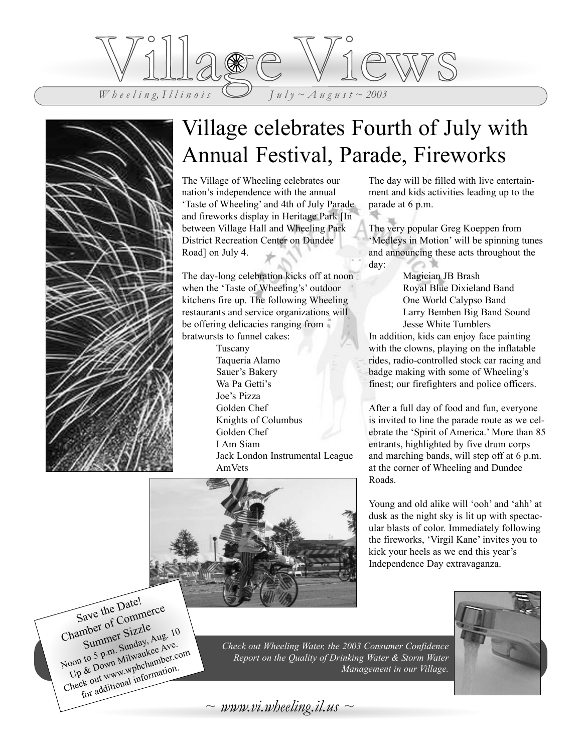



## Village celebrates Fourth of July with Annual Festival, Parade, Fireworks

The Village of Wheeling celebrates our nation's independence with the annual 'Taste of Wheeling' and 4th of July Parade and fireworks display in Heritage Park [In between Village Hall and Wheeling Park District Recreation Center on Dundee Road] on July 4.

The day-long celebration kicks off at noon when the 'Taste of Wheeling's' outdoor kitchens fire up. The following Wheeling restaurants and service organizations will be offering delicacies ranging from bratwursts to funnel cakes:

> Tuscany Taqueria Alamo Sauer's Bakery Wa Pa Getti's Joe's Pizza Golden Chef Knights of Columbus Golden Chef I Am Siam Jack London Instrumental League AmVets

The day will be filled with live entertainment and kids activities leading up to the parade at 6 p.m.

The very popular Greg Koeppen from 'Medleys in Motion' will be spinning tunes and announcing these acts throughout the day:

> Magician JB Brash Royal Blue Dixieland Band One World Calypso Band Larry Bemben Big Band Sound Jesse White Tumblers

In addition, kids can enjoy face painting with the clowns, playing on the inflatable rides, radio-controlled stock car racing and badge making with some of Wheeling's finest; our firefighters and police officers.

After a full day of food and fun, everyone is invited to line the parade route as we celebrate the 'Spirit of America.' More than 85 entrants, highlighted by five drum corps and marching bands, will step off at 6 p.m. at the corner of Wheeling and Dundee Roads.



Young and old alike will 'ooh' and 'ahh' at dusk as the night sky is lit up with spectacular blasts of color. Immediately following the fireworks, 'Virgil Kane' invites you to kick your heels as we end this year's Independence Day extravaganza.

Save the Date! Chamber of Commerce Summer Sizzle Noon to 5 p.m. Sunday, Aug. 10<br>Noon to 5 p.m. Sunday, Aug. 10<br>Up & Down Milwaukee Ave.<br>Check out www.wphchamation.<br>for additional information. Up & Down Milwaukee Ave. Noon to 5 p.m. Milwaukee<br>Up & Down Milwaukee com<br>Up & Down www.wphchamber.com<br>Check out www.wphchambion.



*Check out Wheeling Water, the 2003 Consumer Confidence Report on the Quality of Drinking Water & Storm Water Management in our Village.*

 $\sim$  *www.vi.wheeling.il.us*  $\sim$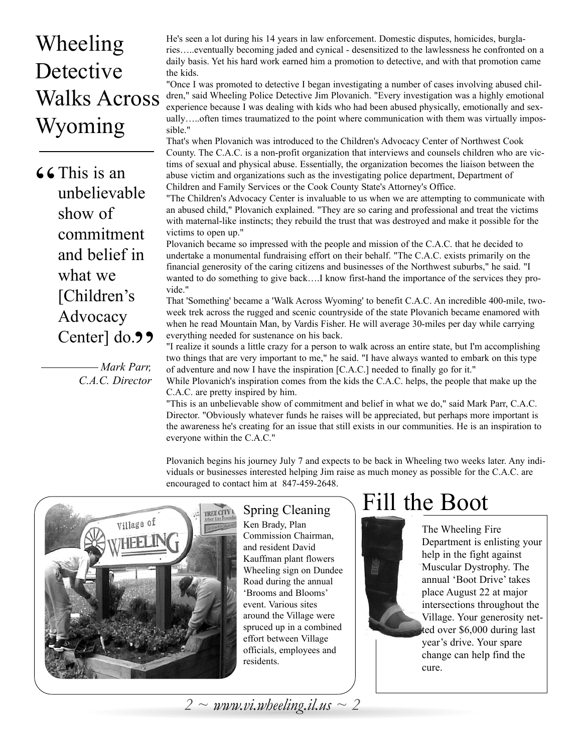## Wheeling Detective Walks Across Wyoming

**66** This is an unbelieval unbelievable show of commitment and belief in what we [Children's Advocacy Center] do. **9 9**<br>*Mark Parr*,

*Mark Parr, C.A.C. Director* He's seen a lot during his 14 years in law enforcement. Domestic disputes, homicides, burglaries…..eventually becoming jaded and cynical - desensitized to the lawlessness he confronted on a daily basis. Yet his hard work earned him a promotion to detective, and with that promotion came the kids.

"Once I was promoted to detective I began investigating a number of cases involving abused children," said Wheeling Police Detective Jim Plovanich. "Every investigation was a highly emotional experience because I was dealing with kids who had been abused physically, emotionally and sexually…..often times traumatized to the point where communication with them was virtually impossible."

That's when Plovanich was introduced to the Children's Advocacy Center of Northwest Cook County. The C.A.C. is a non-profit organization that interviews and counsels children who are victims of sexual and physical abuse. Essentially, the organization becomes the liaison between the abuse victim and organizations such as the investigating police department, Department of Children and Family Services or the Cook County State's Attorney's Office.

"The Children's Advocacy Center is invaluable to us when we are attempting to communicate with an abused child," Plovanich explained. "They are so caring and professional and treat the victims with maternal-like instincts; they rebuild the trust that was destroyed and make it possible for the victims to open up."

Plovanich became so impressed with the people and mission of the C.A.C. that he decided to undertake a monumental fundraising effort on their behalf. "The C.A.C. exists primarily on the financial generosity of the caring citizens and businesses of the Northwest suburbs," he said. "I wanted to do something to give back….I know first-hand the importance of the services they provide."

That 'Something' became a 'Walk Across Wyoming' to benefit C.A.C. An incredible 400-mile, twoweek trek across the rugged and scenic countryside of the state Plovanich became enamored with when he read Mountain Man, by Vardis Fisher. He will average 30-miles per day while carrying everything needed for sustenance on his back.

"I realize it sounds a little crazy for a person to walk across an entire state, but I'm accomplishing two things that are very important to me," he said. "I have always wanted to embark on this type of adventure and now I have the inspiration [C.A.C.] needed to finally go for it."

While Plovanich's inspiration comes from the kids the C.A.C. helps, the people that make up the C.A.C. are pretty inspired by him.

"This is an unbelievable show of commitment and belief in what we do," said Mark Parr, C.A.C. Director. "Obviously whatever funds he raises will be appreciated, but perhaps more important is the awareness he's creating for an issue that still exists in our communities. He is an inspiration to everyone within the C.A.C."

Plovanich begins his journey July 7 and expects to be back in Wheeling two weeks later. Any individuals or businesses interested helping Jim raise as much money as possible for the C.A.C. are encouraged to contact him at 847-459-2648.



Ken Brady, Plan Commission Chairman, and resident David Kauffman plant flowers Wheeling sign on Dundee Road during the annual 'Brooms and Blooms' event. Various sites around the Village were spruced up in a combined effort between Village officials, employees and residents.

## $\overline{\mathcal{S}_{\text{pring Cleaning}}}$  Fill the Boot

The Wheeling Fire Department is enlisting your help in the fight against Muscular Dystrophy. The annual 'Boot Drive' takes place August 22 at major intersections throughout the Village. Your generosity netted over \$6,000 during last year's drive. Your spare change can help find the cure.

*2 ~ www.vi.wheeling.il.us ~ 2*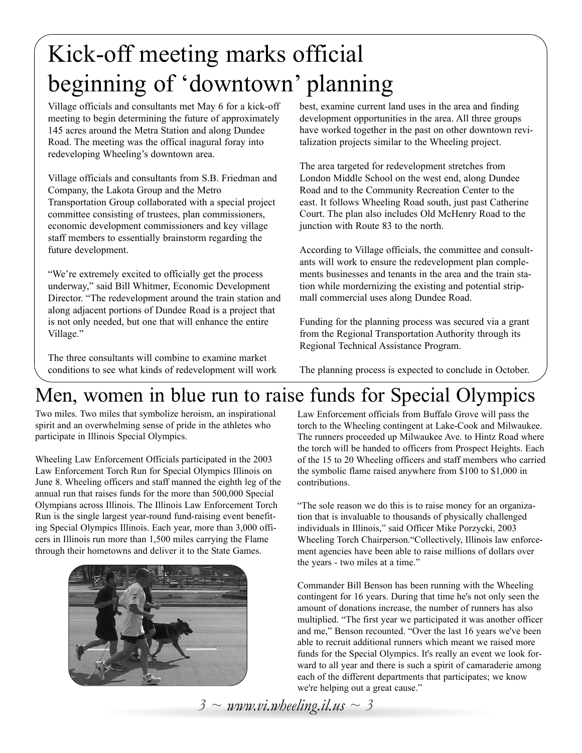## Kick-off meeting marks official beginning of 'downtown' planning

Village officials and consultants met May 6 for a kick-off meeting to begin determining the future of approximately 145 acres around the Metra Station and along Dundee Road. The meeting was the offical inagural foray into redeveloping Wheeling's downtown area.

Village officials and consultants from S.B. Friedman and Company, the Lakota Group and the Metro Transportation Group collaborated with a special project committee consisting of trustees, plan commissioners, economic development commissioners and key village staff members to essentially brainstorm regarding the future development.

"We're extremely excited to officially get the process underway," said Bill Whitmer, Economic Development Director. "The redevelopment around the train station and along adjacent portions of Dundee Road is a project that is not only needed, but one that will enhance the entire Village."

The three consultants will combine to examine market conditions to see what kinds of redevelopment will work

best, examine current land uses in the area and finding development opportunities in the area. All three groups have worked together in the past on other downtown revitalization projects similar to the Wheeling project.

The area targeted for redevelopment stretches from London Middle School on the west end, along Dundee Road and to the Community Recreation Center to the east. It follows Wheeling Road south, just past Catherine Court. The plan also includes Old McHenry Road to the junction with Route 83 to the north.

According to Village officials, the committee and consultants will work to ensure the redevelopment plan complements businesses and tenants in the area and the train station while mordernizing the existing and potential stripmall commercial uses along Dundee Road.

Funding for the planning process was secured via a grant from the Regional Transportation Authority through its Regional Technical Assistance Program.

The planning process is expected to conclude in October.

## Men, women in blue run to raise funds for Special Olympics

Two miles. Two miles that symbolize heroism, an inspirational spirit and an overwhelming sense of pride in the athletes who participate in Illinois Special Olympics.

Wheeling Law Enforcement Officials participated in the 2003 Law Enforcement Torch Run for Special Olympics Illinois on June 8. Wheeling officers and staff manned the eighth leg of the annual run that raises funds for the more than 500,000 Special Olympians across Illinois. The Illinois Law Enforcement Torch Run is the single largest year-round fund-raising event benefiting Special Olympics Illinois. Each year, more than 3,000 officers in Illinois run more than 1,500 miles carrying the Flame through their hometowns and deliver it to the State Games.



Law Enforcement officials from Buffalo Grove will pass the torch to the Wheeling contingent at Lake-Cook and Milwaukee. The runners proceeded up Milwaukee Ave. to Hintz Road where the torch will be handed to officers from Prospect Heights. Each of the 15 to 20 Wheeling officers and staff members who carried the symbolic flame raised anywhere from \$100 to \$1,000 in contributions.

"The sole reason we do this is to raise money for an organization that is invaluable to thousands of physically challenged individuals in Illinois," said Officer Mike Porzycki, 2003 Wheeling Torch Chairperson."Collectively, Illinois law enforcement agencies have been able to raise millions of dollars over the years - two miles at a time."

Commander Bill Benson has been running with the Wheeling contingent for 16 years. During that time he's not only seen the amount of donations increase, the number of runners has also multiplied. "The first year we participated it was another officer and me," Benson recounted. "Over the last 16 years we've been able to recruit additional runners which meant we raised more funds for the Special Olympics. It's really an event we look forward to all year and there is such a spirit of camaraderie among each of the different departments that participates; we know we're helping out a great cause."

 $3 \sim$  *www.vi.wheeling.il.us*  $\sim$  3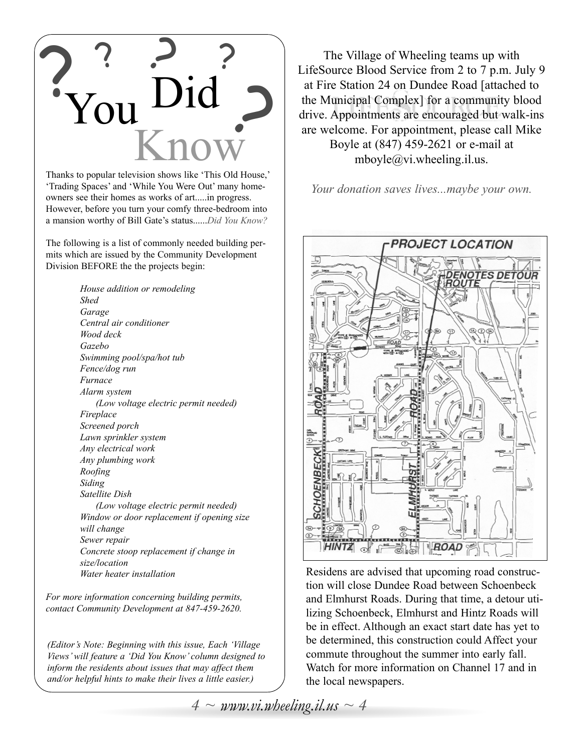

Thanks to popular television shows like 'This Old House,' 'Trading Spaces' and 'While You Were Out' many homeowners see their homes as works of art.....in progress. However, before you turn your comfy three-bedroom into a mansion worthy of Bill Gate's status......*Did You Know?*

The following is a list of commonly needed building permits which are issued by the Community Development Division BEFORE the the projects begin:

> *House addition or remodeling Shed Garage Central air conditioner Wood deck Gazebo Swimming pool/spa/hot tub Fence/dog run Furnace Alarm system (Low voltage electric permit needed) Fireplace Screened porch Lawn sprinkler system Any electrical work Any plumbing work Roofing Siding Satellite Dish (Low voltage electric permit needed) Window or door replacement if opening size will change Sewer repair Concrete stoop replacement if change in size/location Water heater installation*

*For more information concerning building permits, contact Community Development at 847-459-2620.*

*(Editor's Note: Beginning with this issue, Each 'Village Views' will feature a 'Did You Know' column designed to inform the residents about issues that may affect them and/or helpful hints to make their lives a little easier.)*

The Village of Wheeling teams up with LifeSource Blood Service from 2 to 7 p.m. July 9 at Fire Station 24 on Dundee Road [attached to the Municipal Complex] for a community blood drive. Appointments are encouraged but walk-ins are welcome. For appointment, please call Mike Boyle at (847) 459-2621 or e-mail at mboyle@vi.wheeling.il.us.

*Your donation saves lives...maybe your own.*



Residens are advised that upcoming road construction will close Dundee Road between Schoenbeck and Elmhurst Roads. During that time, a detour utilizing Schoenbeck, Elmhurst and Hintz Roads will be in effect. Although an exact start date has yet to be determined, this construction could Affect your commute throughout the summer into early fall. Watch for more information on Channel 17 and in the local newspapers.

 $4 \sim \text{www.vi.wbeeling.}$ *il.us*  $\sim 4$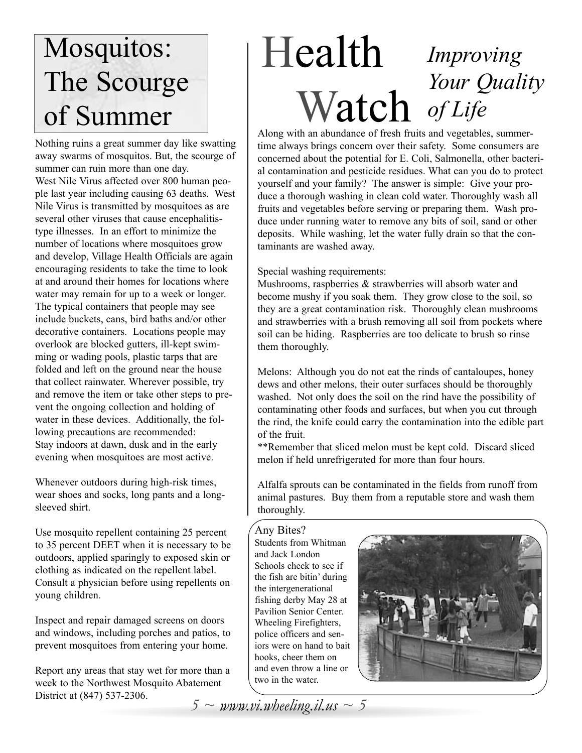## Mosquitos: The Scourge of Summer

Nothing ruins a great summer day like swatting away swarms of mosquitos. But, the scourge of summer can ruin more than one day. West Nile Virus affected over 800 human people last year including causing 63 deaths. West Nile Virus is transmitted by mosquitoes as are several other viruses that cause encephalitistype illnesses. In an effort to minimize the number of locations where mosquitoes grow and develop, Village Health Officials are again encouraging residents to take the time to look at and around their homes for locations where water may remain for up to a week or longer. The typical containers that people may see include buckets, cans, bird baths and/or other decorative containers. Locations people may overlook are blocked gutters, ill-kept swimming or wading pools, plastic tarps that are folded and left on the ground near the house that collect rainwater. Wherever possible, try and remove the item or take other steps to prevent the ongoing collection and holding of water in these devices. Additionally, the following precautions are recommended: Stay indoors at dawn, dusk and in the early evening when mosquitoes are most active.

Whenever outdoors during high-risk times, wear shoes and socks, long pants and a longsleeved shirt.

Use mosquito repellent containing 25 percent to 35 percent DEET when it is necessary to be outdoors, applied sparingly to exposed skin or clothing as indicated on the repellent label. Consult a physician before using repellents on young children.

Inspect and repair damaged screens on doors and windows, including porches and patios, to prevent mosquitoes from entering your home.

Report any areas that stay wet for more than a week to the Northwest Mosquito Abatement District at (847) 537-2306.

### Health Watch *Improving Your Quality of Life*

Along with an abundance of fresh fruits and vegetables, summertime always brings concern over their safety. Some consumers are concerned about the potential for E. Coli, Salmonella, other bacterial contamination and pesticide residues. What can you do to protect yourself and your family? The answer is simple: Give your produce a thorough washing in clean cold water. Thoroughly wash all fruits and vegetables before serving or preparing them. Wash produce under running water to remove any bits of soil, sand or other deposits. While washing, let the water fully drain so that the contaminants are washed away.

### Special washing requirements:

Mushrooms, raspberries & strawberries will absorb water and become mushy if you soak them. They grow close to the soil, so they are a great contamination risk. Thoroughly clean mushrooms and strawberries with a brush removing all soil from pockets where soil can be hiding. Raspberries are too delicate to brush so rinse them thoroughly.

Melons: Although you do not eat the rinds of cantaloupes, honey dews and other melons, their outer surfaces should be thoroughly washed. Not only does the soil on the rind have the possibility of contaminating other foods and surfaces, but when you cut through the rind, the knife could carry the contamination into the edible part of the fruit.

\*\*Remember that sliced melon must be kept cold. Discard sliced melon if held unrefrigerated for more than four hours.

Alfalfa sprouts can be contaminated in the fields from runoff from animal pastures. Buy them from a reputable store and wash them thoroughly.

#### Any Bites?

Students from Whitman and Jack London Schools check to see if the fish are bitin' during the intergenerational fishing derby May 28 at Pavilion Senior Center. Wheeling Firefighters, police officers and seniors were on hand to bait hooks, cheer them on and even throw a line or two in the water.



 $5 \sim$  *www.vi.wheeling.il.us*  $\sim$  5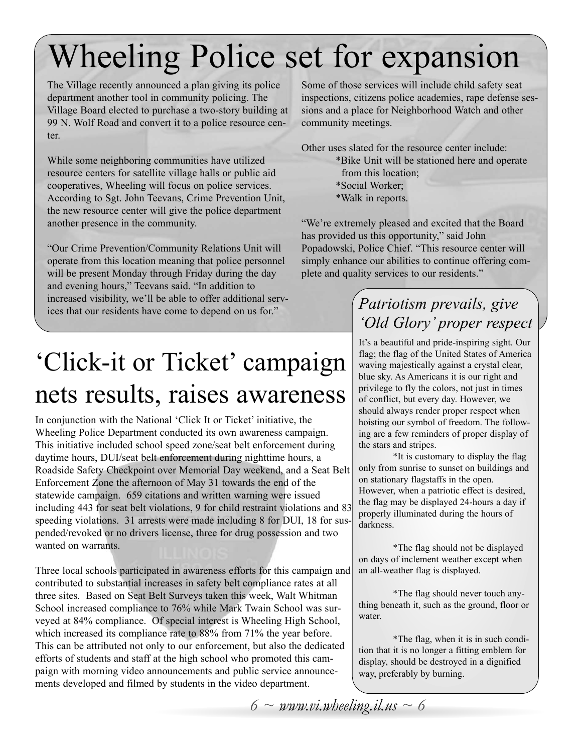## Wheeling Police set for expansion

The Village recently announced a plan giving its police department another tool in community policing. The Village Board elected to purchase a two-story building at 99 N. Wolf Road and convert it to a police resource center.

While some neighboring communities have utilized resource centers for satellite village halls or public aid cooperatives, Wheeling will focus on police services. According to Sgt. John Teevans, Crime Prevention Unit, the new resource center will give the police department another presence in the community.

"Our Crime Prevention/Community Relations Unit will operate from this location meaning that police personnel will be present Monday through Friday during the day and evening hours," Teevans said. "In addition to increased visibility, we'll be able to offer additional services that our residents have come to depend on us for."

Some of those services will include child safety seat inspections, citizens police academies, rape defense sessions and a place for Neighborhood Watch and other community meetings.

Other uses slated for the resource center include:

\*Bike Unit will be stationed here and operate from this location; \*Social Worker; \*Walk in reports.

"We're extremely pleased and excited that the Board has provided us this opportunity," said John Popadowski, Police Chief. "This resource center will simply enhance our abilities to continue offering complete and quality services to our residents."

## 'Click-it or Ticket' campaign nets results, raises awareness

In conjunction with the National 'Click It or Ticket' initiative, the Wheeling Police Department conducted its own awareness campaign. This initiative included school speed zone/seat belt enforcement during daytime hours, DUI/seat belt enforcement during nighttime hours, a Roadside Safety Checkpoint over Memorial Day weekend, and a Seat Belt Enforcement Zone the afternoon of May 31 towards the end of the statewide campaign. 659 citations and written warning were issued including 443 for seat belt violations, 9 for child restraint violations and 83 speeding violations. 31 arrests were made including 8 for DUI, 18 for suspended/revoked or no drivers license, three for drug possession and two wanted on warrants.

Three local schools participated in awareness efforts for this campaign and contributed to substantial increases in safety belt compliance rates at all three sites. Based on Seat Belt Surveys taken this week, Walt Whitman School increased compliance to 76% while Mark Twain School was surveyed at 84% compliance. Of special interest is Wheeling High School, which increased its compliance rate to 88% from 71% the year before. This can be attributed not only to our enforcement, but also the dedicated efforts of students and staff at the high school who promoted this campaign with morning video announcements and public service announcements developed and filmed by students in the video department.

### *Patriotism prevails, give 'Old Glory' proper respect*

It's a beautiful and pride-inspiring sight. Our flag; the flag of the United States of America waving majestically against a crystal clear, blue sky. As Americans it is our right and privilege to fly the colors, not just in times of conflict, but every day. However, we should always render proper respect when hoisting our symbol of freedom. The following are a few reminders of proper display of the stars and stripes.

\*It is customary to display the flag only from sunrise to sunset on buildings and on stationary flagstaffs in the open. However, when a patriotic effect is desired, the flag may be displayed 24-hours a day if properly illuminated during the hours of darkness.

\*The flag should not be displayed on days of inclement weather except when an all-weather flag is displayed.

\*The flag should never touch anything beneath it, such as the ground, floor or water.

\*The flag, when it is in such condition that it is no longer a fitting emblem for display, should be destroyed in a dignified way, preferably by burning.

*6 ~ www.vi.wheeling.il.us ~ 6*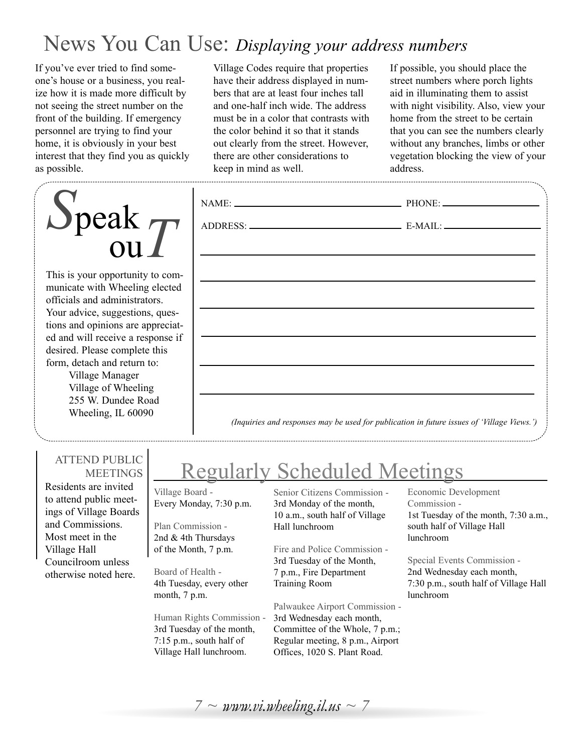## News You Can Use: *Displaying your address numbers*

If you've ever tried to find someone's house or a business, you realize how it is made more difficult by not seeing the street number on the front of the building. If emergency personnel are trying to find your home, it is obviously in your best interest that they find you as quickly as possible.

# *S*peak ou*T*

This is your opportunity to communicate with Wheeling electe officials and administrators. Your advice, suggestions, questions and opinions are apprecia ed and will receive a response desired. Please complete this form, detach and return to:

Village Manager Village of Wheeling 255 W. Dundee Road Wheeling, IL 60090

Village Codes require that properties have their address displayed in numbers that are at least four inches tall and one-half inch wide. The address must be in a color that contrasts with the color behind it so that it stands out clearly from the street. However, there are other considerations to keep in mind as well.

If possible, you should place the street numbers where porch lights aid in illuminating them to assist with night visibility. Also, view your home from the street to be certain that you can see the numbers clearly without any branches, limbs or other vegetation blocking the view of your address.

| ,我们也不会有什么。""我们的人,我们也不会有什么?""我们的人,我们也不会有什么?""我们的人,我们也不会有什么?""我们的人,我们也不会有什么?""我们的人                                      |  |
|-----------------------------------------------------------------------------------------------------------------------|--|
| <u> 1989 - Johann Stoff, deutscher Stoff, der Stoff, der Stoff, der Stoff, der Stoff, der Stoff, der Stoff, der S</u> |  |
|                                                                                                                       |  |
| ,我们也不能在这里的时候,我们也不能在这里的时候,我们也不能会在这里的时候,我们也不能会在这里的时候,我们也不能会在这里的时候,我们也不能会在这里的时候,我们也                                      |  |
| ,我们也不能在这里的时候,我们也不能会在这里,我们也不能会在这里的时候,我们也不能会在这里的时候,我们也不能会在这里的时候,我们也不能会在这里的时候,我们也不能                                      |  |
|                                                                                                                       |  |
|                                                                                                                       |  |
| ,我们也不会有什么。""我们的人,我们也不会有什么?""我们的人,我们也不会有什么?""我们的人,我们也不会有什么?""我们的人,我们也不会有什么?""我们的人                                      |  |
|                                                                                                                       |  |

### ATTEND PUBLIC **MEETINGS**

Residents are invited to attend public meetings of Village Boards and Commissions. Most meet in the Village Hall Councilroom unless otherwise noted here.

## Regularly Scheduled Meetings

Village Board - Every Monday, 7:30 p.m.

Plan Commission - 2nd & 4th Thursdays of the Month, 7 p.m.

Board of Health - 4th Tuesday, every other month, 7 p.m.

Human Rights Commission - 3rd Tuesday of the month, 7:15 p.m., south half of Village Hall lunchroom.

Senior Citizens Commission - 3rd Monday of the month, 10 a.m., south half of Village Hall lunchroom

Fire and Police Commission - 3rd Tuesday of the Month, 7 p.m., Fire Department Training Room

Palwaukee Airport Commission - 3rd Wednesday each month, Committee of the Whole, 7 p.m.; Regular meeting, 8 p.m., Airport Offices, 1020 S. Plant Road.

### Economic Development Commission - 1st Tuesday of the month, 7:30 a.m., south half of Village Hall lunchroom

Special Events Commission - 2nd Wednesday each month, 7:30 p.m., south half of Village Hall lunchroom

 $7 \sim$  *www.vi.wheeling.il.us*  $\sim$  7